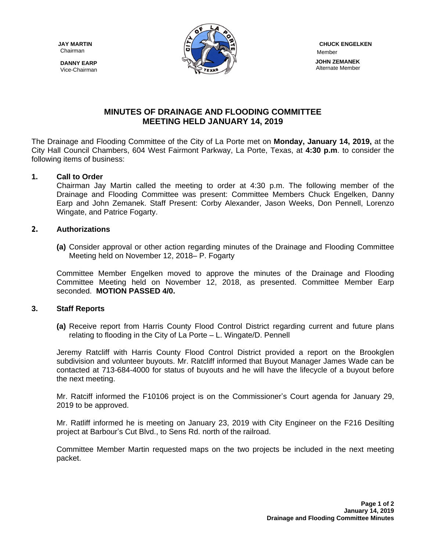Chairman

**DANNY EARP** Vice-Chairman



 Member  **JOHN ZEMANEK** Alternate Member

# **MINUTES OF DRAINAGE AND FLOODING COMMITTEE MEETING HELD JANUARY 14, 2019**

The Drainage and Flooding Committee of the City of La Porte met on **Monday, January 14, 2019,** at the City Hall Council Chambers, 604 West Fairmont Parkway, La Porte, Texas, at **4:30 p.m**. to consider the following items of business:

## **1. Call to Order**

Chairman Jay Martin called the meeting to order at 4:30 p.m. The following member of the Drainage and Flooding Committee was present: Committee Members Chuck Engelken, Danny Earp and John Zemanek. Staff Present: Corby Alexander, Jason Weeks, Don Pennell, Lorenzo Wingate, and Patrice Fogarty.

### **2. Authorizations**

**(a)** Consider approval or other action regarding minutes of the Drainage and Flooding Committee Meeting held on November 12, 2018– P. Fogarty

Committee Member Engelken moved to approve the minutes of the Drainage and Flooding Committee Meeting held on November 12, 2018, as presented. Committee Member Earp seconded. **MOTION PASSED 4/0.**

## **3. Staff Reports**

**(a)** Receive report from Harris County Flood Control District regarding current and future plans relating to flooding in the City of La Porte – L. Wingate/D. Pennell

Jeremy Ratcliff with Harris County Flood Control District provided a report on the Brookglen subdivision and volunteer buyouts. Mr. Ratcliff informed that Buyout Manager James Wade can be contacted at 713-684-4000 for status of buyouts and he will have the lifecycle of a buyout before the next meeting.

Mr. Ratciff informed the F10106 project is on the Commissioner's Court agenda for January 29, 2019 to be approved.

Mr. Ratliff informed he is meeting on January 23, 2019 with City Engineer on the F216 Desilting project at Barbour's Cut Blvd., to Sens Rd. north of the railroad.

Committee Member Martin requested maps on the two projects be included in the next meeting packet.